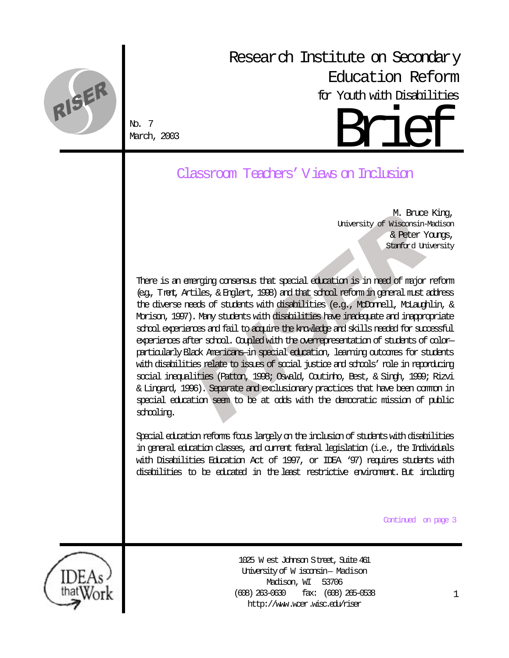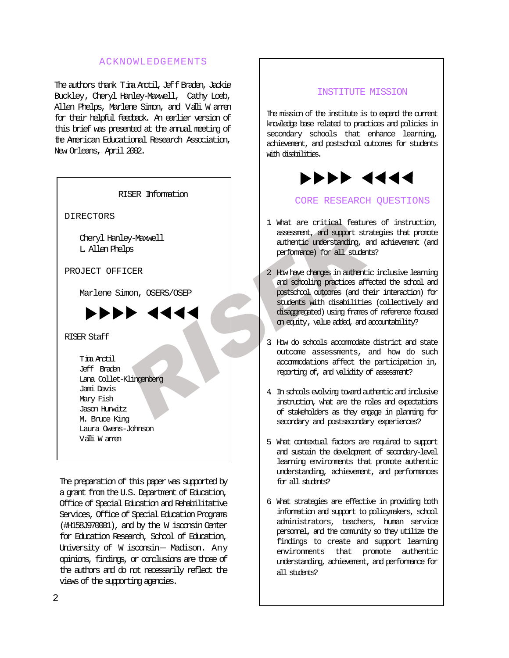## ACKNOWLEDGEMENTS

The authors thank Tina Anctil, Jeff Braden, Jackie Buckley, Cheryl Hanley-Maxwell, Cathy Loeb, Allen Phelps, Marlene Simon, and Valli W arren for their helpful feedback. An earlier version of this brief was presented at the annual meeting of the American Educational Research Association, New Orleans, April 2002.

|                                                                                 | PI<br>▶ ◆                                                                                                                     |
|---------------------------------------------------------------------------------|-------------------------------------------------------------------------------------------------------------------------------|
| RISER Information                                                               | <b>CORE RESEARCH</b>                                                                                                          |
| <b>DIRECTORS</b>                                                                | 1 What are critical feature                                                                                                   |
| Cheryl Hanley-Maxwell<br>L Allen Phelps                                         | assessment, and support stra<br>authentic understanding, are<br>performance) for all student                                  |
| PROJECT OFFICER                                                                 | 2 How have changes in authentic<br>and schooling practices affe                                                               |
| Marlene Simon, OSERS/OSEP<br><b>&gt;&gt;&gt;&gt; 4444</b>                       | postschool cutcomes (and the<br>students with disabilities<br>disagregated) using frames<br>on equity, value added, and a     |
| RISER Staff<br>Tima Anotil<br>Jeff Braden<br>Lana Collet-Klingenberg            | 3 How do schools accommodate<br>outcome assessments, a<br>accommodations affect the<br>reporting of, and validity of          |
| Jami Davis<br>Mary Fish<br>Jason Huwitz<br>M. Bruce King<br>Laura Owens-Johnson | 4 In schools evolving toward aut<br>instruction, what are the ro<br>of stakeholders as they eng<br>secondary and postsecondar |
| Valli Wamen                                                                     | 5 What contextual factors are                                                                                                 |

The preparation of this paper was supported by a grant from the U.S. Department of Education, Office of Special Education and Rehabilitative Services, Office of Special Education Programs (#H158J970001), and by the W isconsin Center for Education Research, School of Education, University of W isconsin— Madison. Any opinions, findings, or conclusions are those of the authors and do not necessarily reflect the views of the supporting agencies.

#### INSTITUTE MISSION

The mission of the institute is to expand the current knowledge base related to practices and policies in secondary schools that enhance learning, achievement, and postschool outcomes for students with disabilities.



#### CORE RESEARCH QUESTIONS

- 1. What are critical features of instruction, assessment, and support strategies that promote authentic understanding, and achievement (and performance) for all students?
- 2. How have changes in authentic inclusive learning and schooling practices affected the school and postschool outcomes (and their interaction) for students with disabilities (collectively and disaggregated) using frames of reference focused on equity, value added, and accountability?
- 3. How do schools accommodate district and state outcome assessments, and how do such accommodations affect the participation in, reporting of, and validity of assessment?
- 4. In schools evolving toward authentic and inclusive instruction, what are the roles and expectations of stakeholders as they engage in planning for secondary and postsecondary experiences?
- 5. What contextual factors are required to support and sustain the development of secondary-level learning environments that promote authentic understanding, achievement, and performances for all students?
- 6. What strategies are effective in providing both information and support to policymakers, school administrators, teachers, human service personnel, and the community so they utilize the findings to create and support learning environments that promote authentic understanding, achievement, and performance for all students?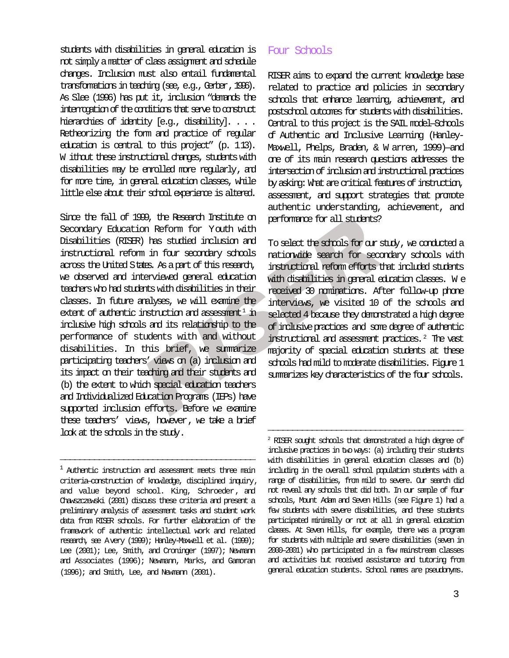students with disabilities in general education is not simply a matter of class assignment and schedule changes. Inclusion must also entail fundamental transformations in teaching (see, e.g., Gerber,1996). As Slee (1996) has put it, inclusion "demands the interrogation of the conditions that serve to construct hierarchies of identity [e.g., disability].  $\ldots$ . Retheorizing the form and practice of regular education is central to this project" (p. 113). W ithout these instructional changes, students with disabilities may be enrolled more regularly, and for more time, in general education classes, while little else about their school experience is altered.

**EXAMPLE 19 ASSEMBLY**, the Research Installation of performance for all students?<br>
A) has studied inclusion and To select the shocks for our standard momentum in four secondary shocks institutional reform efforts the therm Since the fall of 1999, the Research Institute on Secondary Education Reform for Youth with Disabilities (RISER) has studied inclusion and instructional reform in four secondary schools across the United States. As a part of this research, we observed and interviewed general education teachers who had students with disabilities in their classes. In future analyses, we will examine the extent of authentic instruction and assessment  $1$  in inclusive high schools and its relationship to the performance of students with and without disabilities. In this brief, we summarize participating teachers' views on (a) inclusion and its impact on their teaching and their students and (b) the extent to which special education teachers and Individualized Education Programs (IEPs) have supported inclusion efforts. Before we examine these teachers' views, however, we take a brief look at the schools in the study.

\_\_\_\_\_\_\_\_\_\_\_\_\_\_\_\_\_\_\_\_\_\_\_\_\_\_\_\_\_\_\_\_\_\_\_\_\_\_\_\_

## Four Schools

RISER aims to expand the current knowledge base related to practice and policies in secondary schools that enhance learning, achievement, and postschool outcomes for students with disabilities. Central to this project is the SAIL model—Schools of Authentic and Inclusive Learning (Hanley-Maxwell, Phelps, Braden, & W arren, 1999)—and one of its main research questions addresses the intersection of inclusion and instructional practices by asking: What are critical features of instruction, assessment, and support strategies that promote authentic understanding, achievement, and performance for all students?

To select the schools for our study, we conducted a nationwide search for secondary schools with instructional reform efforts that included students with disabilities in general education classes. W e received 30 nominations. After follow-up phone interviews, we visited 10 of the schools and selected 4 because they demonstrated a high degree of inclusive practices and some degree of authentic instructional and assessment practices.<sup>2</sup> The vast majority of special education students at these schools had mild to moderate disabilities. Figure 1 summarizes key characteristics of the four schools.

\_\_\_\_\_\_\_\_\_\_\_\_\_\_\_\_\_\_\_\_\_\_\_\_\_\_\_\_\_\_\_\_\_\_\_\_\_\_\_\_

 $^{\rm 1}$  Authentic instruction and assessment meets three main criteria—construction of knowledge, disciplined inquiry, and value beyond school. King, Schroeder, and Chawszczewski (2001) discuss these criteria and present a preliminary analysis of assessment tasks and student work data from RISER schools. For further elaboration of the framework of authentic intellectual work and related research, see Avery (1999); Hanley-Maxwell et al. (1999); Lee (2001); Lee, Smith, and Croninger (1997); Newmann and Associates (1996); Newmann, Marks, and Gamoran (1996); and Smith, Lee, and Newmann (2001).

<sup>2</sup> RISER sought schools that demonstrated a high degree of inclusive practices in two ways: (a) including their students with disabilities in general education classes and (b) including in the overall school population students with a range of disabilities, from mild to severe. Our search did not reveal any schools that did both. In our sample of four schools, Mount Adam and Seven Hills (see Figure 1) had a few students with severe disabilities, and these students participated minimally or not at all in general education classes. At Seven Hills, for example, there was a program for students with multiple and severe disabilities (seven in 2000–2001) who participated in a few mainstream classes and activities but received assistance and tutoring from general education students. School names are pseudonyms.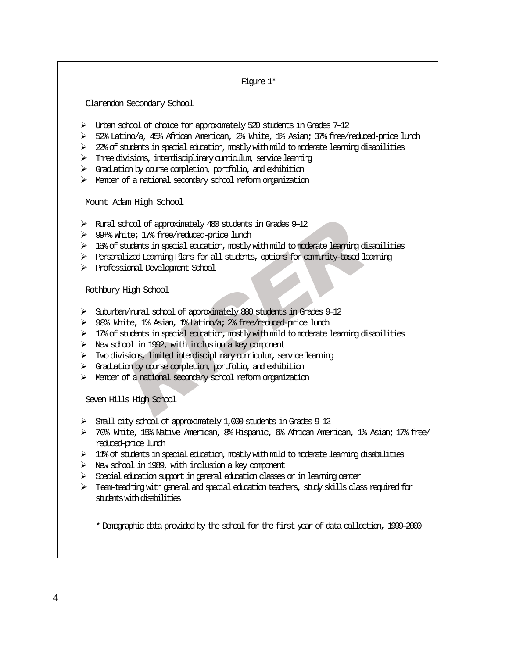#### Figure 1\*

Clarendon Secondary School

- ¾ Urban school of choice for approximately 520 students in Grades 7–12
- ¾ 52% Latino/a, 45% African American, 2% White, 1% Asian; 37% free/reduced-price lunch
- $\geq$  22% of students in special education, mostly with mild to moderate learning disabilities
- $\triangleright$  Three divisions, interdisciplinary curriculum, service learning
- $\triangleright$  Graduation by course completion, portfolio, and exhibition
- $\triangleright$  Member of a national secondary school reform organization

Mount Adam High School

- ¾ Rural school of approximately 480 students in Grades 9–12
- ¾ 99+% White; 17% free/reduced-price lunch
- $\triangleright$  16% of students in special education, mostly with mild to moderate learning disabilities
- ¾ Personalized Learning Plans for all students, options for community-based learning
- ¾ Professional Development School

## Rothbury High School

- ¾ Suburban/rural school of approximately 880 students in Grades 9–12
- ¾ 98% White, 1% Asian, 1% Latino/a; 2% free/reduced-price lunch
- Fractional of approximately 480 students in Grades 9-12<br>
Rice: 17% free/reduced-price lunch<br>
students in special education, mostly with mild to moderate learning di<br>
lized Ieanning Plans for all students, options for commi  $\triangleright$  17% of students in special education, mostly with mild to moderate learning disabilities
- $\triangleright$  New school in 1992, with inclusion a key component
- ¾ Two divisions, limited interdisciplinary curriculum, service learning
- $\triangleright$  Graduation by course completion, portfolio, and exhibition
- ¾ Member of a national secondary school reform organization

Seven Hills High School

- ¾ Small city school of approximately 1,000 students in Grades 9–12
- ¾ 70% White, 15% Native American, 8% Hispanic, 6% African American, 1% Asian; 17% free/ reduced-price lunch
- $\geq 11$ % of students in special education, mostly with mild to moderate learning disabilities
- $\triangleright$  New school in 1989, with inclusion a key component
- $\triangleright$  Special education support in general education classes or in learning center
- $\triangleright$  Team-teaching with general and special education teachers, study skills class required for students with disabilities

\* Demographic data provided by the school for the first year of data collection, 1999–2000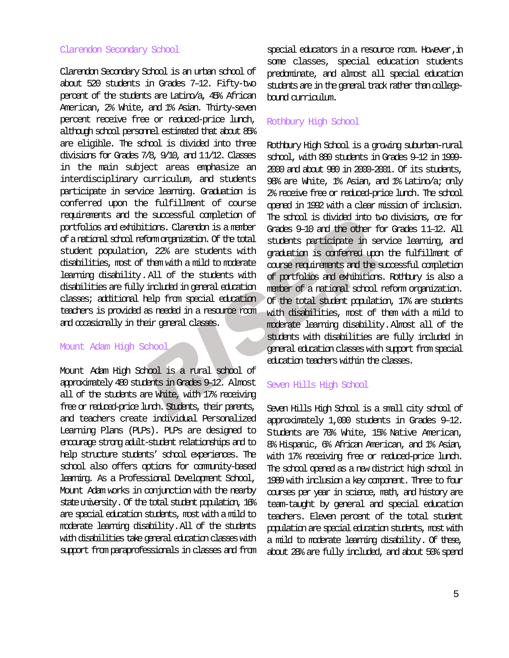#### Clarendon Secondary School

Clarendon Secondary School is an urban school of about 520 students in Grades 7–12. Fifty-two percent of the students are Latino/a, 45% African American, 2% White, and 1% Asian. Thirty-seven percent receive free or reduced-price lunch, although school personnel estimated that about 85% are eligible. The school is divided into three divisions for Grades 7/8, 9/10, and 11/12. Classes in the main subject areas emphasize an interdisciplinary curriculum, and students participate in service learning. Graduation is conferred upon the fulfillment of course requirements and the successful completion of portfolios and exhibitions. Clarendon is a member of a national school reform organization. Of the total student population, 22% are students with disabilities, most of them with a mild to moderate learning disability. All of the students with disabilities are fully included in general education classes; additional help from special education teachers is provided as needed in a resource room and occasionally in their general classes.

#### Mount Adam High School

Mount Adam High School is a rural school of approximately 480 students in Grades 9–12. Almost all of the students are White, with 17% receiving free or reduced-price lunch. Students, their parents, and teachers create individual Personalized Learning Plans (PLPs). PLPs are designed to encourage strong adult-student relationships and to help structure students' school experiences. The school also offers options for community-based learning. As a Professional Development School, Mount Adam works in conjunction with the nearby stateuniversity. Of the total student population, 16% are special education students, most with a mild to moderate learning disability. All of the students with disabilities take general education classes with support from paraprofessionals in classes and from

special educators in a resource room. However, in some classes, special education students predominate, and almost all special education students are in the general track rather than collegebound curriculum.

## Rothbury High School

*R* and the substant depends of the students of the students of the students of efform organization. Of the total students participate in series in the students with gradient is one-form organization. All of the students w Rothbury High School is a growing suburban-rural school, with 880 students in Grades 9–12 in 1999- 2000 and about 980 in 2000-2001. Of its students, 98% are White, 1% Asian, and 1% Latino/a; only 2% receive free or reduced-price lunch. The school opened in 1992 with a clear mission of inclusion. The school is divided into two divisions, one for Grades 9–10 and the other for Grades 11–12. All students participate in service learning, and graduation is conferred upon the fulfillment of course requirements and the successful completion of portfolios and exhibitions. Rothbury is also a member of a national school reform organization. Of the total student population, 17% are students with disabilities, most of them with a mild to moderate learning disability. Almost all of the students with disabilities are fully included in general education classes with support from special education teachers within the classes.

## Seven Hills High School

Seven Hills High School is a small city school of approximately 1,000 students in Grades 9–12. Students are 70% White, 15% Native American, 8% Hispanic, 6% African American, and 1% Asian, with 17% receiving free or reduced-price lunch. The school opened as a new district high school in 1989 with inclusion a key component. Three to four courses per year in science, math, and history are team-taught by general and special education teachers. Eleven percent of the total student population are special education students, most with a mild to moderate learning disability. Of these, about 28% are fully included, and about 50% spend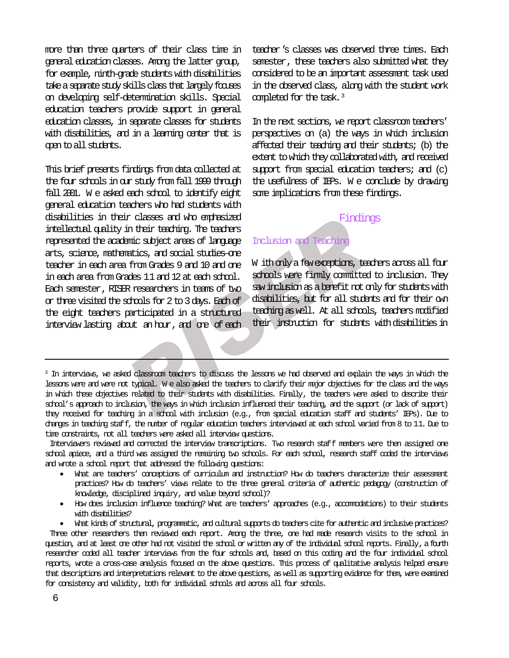more than three quarters of their class time in general education classes. Among the latter group, for example, ninth-grade students with disabilities take a separate study skills class that largely focuses on developing self-determination skills. Special education teachers provide support in general education classes, in separate classes for students with disabilities, and in a learning center that is open to all students.

Findin<br>
in their teaching. The teachers<br>
Amic subject areas of larguage Inclusion and Teaching<br>
matics, and social studies-one<br>
factors and 10 and one With only a favoragations, the<br>
rackes 11 and 12 at each school. School This brief presents findings from data collected at the four schools in our study from fall 1999 through fall 2001. W e asked each school to identify eight general education teachers who had students with disabilities in their classes and who emphasized intellectual quality in their teaching. The teachers represented the academic subject areas of language arts, science, mathematics, and social studies-one teacher in each area from Grades 9 and 10 and one in each area from Grades 11 and 12 at each school. Each semester, RISER researchers in teams of two or three visited the schools for 2 to 3 days. Each of the eight teachers participated in a structured interview lasting about an hour, and one of each

teacher's classes was observed three times. Each semester, these teachers also submitted what they considered to be an important assessment task used in the observed class, along with the student work completed for the task.  $3$ 

In the next sections, we report classroom teachers' perspectives on (a) the ways in which inclusion affected their teaching and their students; (b) the extent to which they collaborated with, and received support from special education teachers; and (c) the usefulness of IEPs. W e conclude by drawing some implications from these findings.

#### Findings

# Inclusion and Teachi

W ith only a few exceptions, teachers across all four schools were firmly committed to inclusion. They saw inclusion as a benefit not only for students with disabilities, but for all students and for their own teaching as well. At all schools, teachers modified their instruction for students with disabilities in

Interviewers reviewed and corrected the interview transcriptions. Two research staff members were then assigned one school apiece, and a third was assigned the remaining two schools. For each school, research staff coded the interviews and wrote a school report that addressed the following questions:

- What are teachers' conceptions of curriculum and instruction? How do teachers characterize their assessment practices? How do teachers' views relate to the three general criteria of authentic pedagogy (construction of knowledge, disciplined inquiry, and value beyond school)?
- How does inclusion influence teaching? What are teachers' approaches (e.g., accommodations) to their students with disabilities?
- What kinds of structural, programmatic, and cultural supports do teachers cite for authentic and inclusive practices?

Three other researchers then reviewed each report. Among the three, one had made research visits to the school in question, and at least one other had not visited the school or written any of the individual school reports. Finally, a fourth researcher coded all teacher interviews from the four schools and, based on this coding and the four individual school reports, wrote a cross-case analysis focused on the above questions. This process of qualitative analysis helped ensure that descriptions and interpretations relevant to the above questions, as well as supporting evidence for them, were examined for consistency and validity, both for individual schools and across all four schools.

 $^3$  In interviews, we asked classroom teachers to discuss the lessons we had observed and explain the ways in which the lessons were and were not typical. W e also asked the teachers to clarify their major objectives for the class and the ways in which these objectives related to their students with disabilities. Finally, the teachers were asked to describe their school's approach to inclusion, the ways in which inclusion influenced their teaching, and the support (or lack of support) they received for teaching in a school with inclusion (e.g., from special education staff and students' IEPs). Due to changes in teaching staff, the number of regular education teachers interviewed at each school varied from 8 to 11. Due to time constraints, not all teachers were asked all interview questions.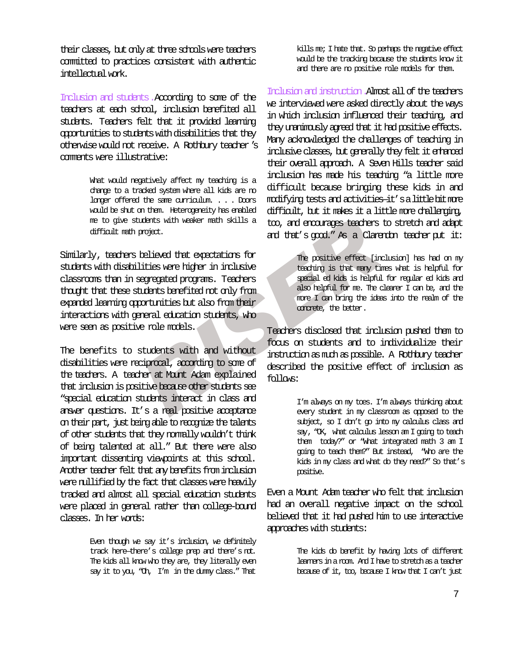their classes, but only at three schools were teachers committed to practices consistent with authentic intellectual work.

Inclusion and students.According to some of the teachers at each school, inclusion benefited all students. Teachers felt that it provided learning opportunities to students with disabilities that they otherwise would not receive. A Rothbury teacher's comments were illustrative:

> What would negatively affect my teaching is a change to a tracked system where all kids are no longer offered the same curriculum. . . . Doors would be shut on them. Heterogeneity has enabled me to give students with weaker math skills a difficult math project.

Figure 1.1 and the state of the state of the state of the state of the state of the state of the state of the state of the state of the state of the state of the state of the state of the state of the state of the state of Similarly, teachers believed that expectations for students with disabilities were higher in inclusive classrooms than in segregated programs. Teachers thought that these students benefited not only from expanded learning opportunities but also from their interactions with general education students, who were seen as positive role models.

The benefits to students with and without disabilities were reciprocal, according to some of the teachers. A teacher at Mount Adam explained that inclusion is positive because other students see "special education students interact in class and answer questions. It's a real positive acceptance on their part, just being able to recognize the talents of other students that they normally wouldn't think of being talented at all." But there were also important dissenting viewpoints at this school. Another teacher felt that any benefits from inclusion were nullified by the fact that classes were heavily tracked and almost all special education students were placed in general rather than college-bound classes. In her words:

> Even though we say it's inclusion, we definitely track here–there's college prep and there's not. The kids all know who they are, they literally even say it to you, 'Ch, I'm in the dumy class." That

kills me; I hate that. So perhaps the negative effect would be the tracking because the students know it and there are no positive role models for them.

Inclusion and instruction.Almost all of the teachers we interviewed were asked directly about the ways in which inclusion influenced their teaching, and they unanimously agreed that it had positive effects. Many acknowledged the challenges of teaching in inclusive classes, but generally they felt it enhanced their overall approach. A Seven Hills teacher said inclusion has made his teaching "a little more difficult because bringing these kids in and modifying tests and activities—it'salittlebitmore difficult, but it makes it a little more challenging, too, and encourages teachers to stretch and adapt and that's good." As a Clarendon teacher put it:

> The positive effect [inclusion] has had on my teaching is that many times what is helpful for special ed kids is helpful for regular ed kids and also helpful for me. The clearer I can be, and the more I can bring the ideas into the realm of the concrete, the better.

Teachers disclosed that inclusion pushed them to focus on students and to individualize their instruction as much as possible. A Rothbury teacher described the positive effect of inclusion as follows:

> I'm always on my toes. I'm always thinking about every student in my classroom as opposed to the subject, so I don't go into my calculus class and say, "OK, what calculus lesson am I going to teach them today?" or "What integrated math 3 am I going to teach them?" But instead, "Who are the kids in my class and what do they need?" So that's positive.

Even a Mount Adam teacher who felt that inclusion had an overall negative impact on the school believed that it had pushed him to use interactive approaches with students:

> The kids do benefit by having lots of different learners in a room. And I have to stretch as a teacher because of it, too, because I know that I can't just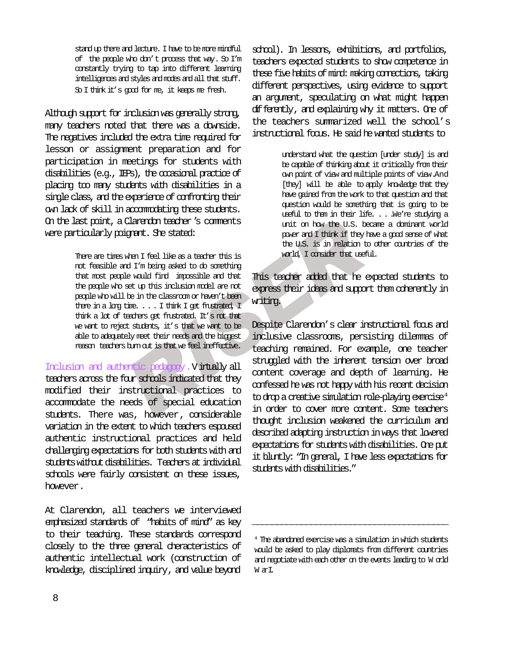stand up there and lecture. I have to be more mindful of the people who don't process that way. So I'm constantly trying to tap into different learning intelligences and styles and modes and all that stuff. So I think it's good for me, it keeps me fresh.

Although support for inclusion was generally strong, many teachers noted that there was a downside. The negatives included the extra time required for lesson or assignment preparation and for participation in meetings for students with disabilities (e.g., IEPs), the conssional practice of placing too many students with disabilities in a single class, and the experience of confronting their own lack of skill in accommodating these students. On the last point, a Clarendon teacher's comments were particularly poignant. She stated:

Clarendon teacher 's comments<br>
into the U.S. be<br>
into the U.S. is in relation to<br>
into the U.S. is in relation to<br>
it is used, I consider that used<br>
int I'm being aded to do smething<br>
ile would firm inpossible and that<br>
il There are times when I feel like as a teacher this is not feasible and I'm being asked to do something that most people would find impossible and that the people who set up this inclusion model are not people who will be in the classroom or haven't been there in a long time. ... I think I get frustrated, I think a lot of teachers get frustrated. It's not that we want to reject students, it's that we want to be able to adequately meet their needs and the biggest reason teachers burn out is that we feel ineffective.

Inclusion and authentic pedagogy. Virtually all teachers across the four schools indicated that they modified their instructional practices to accommodate the needs of special education students. There was, however, considerable variation in the extent to which teachers espoused authentic instructional practices and held challenging expectations for both students with and students without disabilities. Teachers at individual schools were fairly consistent on these issues, however.

At Clarendon, all teachers we interviewed emphasized standards of "habits of mind" as key to their teaching. These standards correspond closely to the three general cheracteristics of authentic intellectual work (construction of knowledge, disciplined inquiry, and value beyond

school). In lessons, exhibitions, and portfolios, teachers expected students to show competence in these five habits of mind: making connections, taking different perspectives, using evidence to support an argument, speculating on what might happen differently, and explaining why it matters. One of the teachers summarized well the school's instructional focus. He said he wanted students to

> understand what the question [under study] is and be capable of thinking about it critically from their own point of view and multiple points of view. And [they] will be able to apply knowledge that they have gained from the work to that question and that question would be something that is going to be useful to them in their life. . . .We're studying a unit on how the U.S. became a dominant world power and I think if they have a good sense of what the U.S. is in relation to other countries of the world, I consider that useful.

This teacher added that he expected students to express their ideas and support them coherently in writing.

Despite Clarendon's clear instructional focus and inclusive classrooms, persisting dilemmas of teaching remained. For example, one teacher struggled with the inherent tension over broad content coverage and depth of learning. He confessed he was not happy with his recent decision to drop a creative simulation role-playing exercise $^4$ in order to cover more content. Some teachers thought inclusion weakened the curriculum and described adapting instruction in ways that lowered expectations for students with disabilities. One put it bluntly: "In general, I have less expectations for students with disabilities."

\_\_\_\_\_\_\_\_\_\_\_\_\_\_\_\_\_\_\_\_\_\_\_\_\_\_\_\_\_\_\_\_\_\_\_\_\_\_\_\_

<sup>4</sup> The abandoned exercise was a simulation in which students would be asked to play diplomats from different countries and negotiate with each other on the events leading to W orld W arI.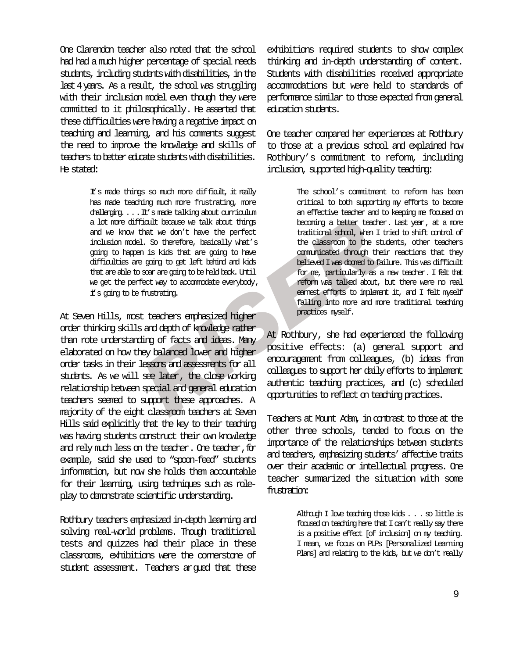One Clarendon teacher also noted that the school had had a much higher percentage of special needs students, including students with disabilities, in the last4years. As a result, the school was struggling with their inclusion model even though they were committed to it philosophically. He asserted that these difficulties were having a negative impact on teaching and learning, and his comments suppest the need to improve the knowledge and skills of teachers to better educate students with disabilities. He stated:

> It's made things so much more difficult, it really has made teaching much more frustrating, more challenging....It's made talking about curriculum a lot more difficult because we talk about things and we know that we don't have the perfect inclusion model. So therefore, basically what's going to happen is kids that are going to have difficulties are going to get left behind and kids that are able to soar are going to be held back. Until we get the perfect way to accommodate everybody, it's going to be frustrating.

Figure 1972 and the set of the set of the set of the set of the set of the set of the set of the set of the set of the set of the set of the set of the set of the set of the set of the set of the set of the set of the set At Seven Hills, most teachers emphasized higher order thinking skills and depth of knowledge rather than rote understanding of facts and ideas. Many elaborated on how they balanced lower and higher order tasks in their lessons and assessments for all students. As we will see later, the close working relationship between special and general education teachers seemed to support these approaches. A majority of the eight classroom teachers at Seven Hills said explicitly that the key to their teaching was having students construct their own knowledge and rely much less on the teacher. One teacher, for example, said she used to "spoon-feed" students information, but now she holds them accountable for their learning, using techniques such as roleplay to demonstrate scientific understanding.

Rothbury teachers emphasized in-depth learning and solving real-world problems. Though traditional tests and quizzes had their place in these classrooms, exhibitions were the cornerstone of student assessment. Teachers argued that these

exhibitions required students to show complex thinking and in-depth understanding of content. Students with disabilities received appropriate accommodations but were held to standards of performance similar to those expected from general education students.

One teacher compared her experiences at Rothbury to those at a previous school and explained how Rothbury's commitment to reform, including inclusion, supported high-quality teaching:

> The school's commitment to reform has been critical to both supporting my efforts to become an effective teacher and to keeping me focused on becoming a better teacher. Last year, at a more traditional school, when I tried to shift control of the classroom to the students, other teachers communicated through their reactions that they believed I was doomed to failure. This was difficult for me, particularly as a new teacher. I felt that reform was talked about, but there were no real earnest efforts to implement it, and I felt myself falling into more and more traditional teaching practices myself.

At Rothbury, she had experienced the following positive effects: (a) general support and encouragement from colleagues, (b) ideas from colleagues to support her daily efforts to implement authentic teaching practices, and (c) scheduled opportunities to reflect on teaching practices.

Teachers at Mount Adam, in contrast to those at the other three schools, tended to focus on the importance of the relationships between students and teachers, emphasizing students' affective traits over their academic or intellectual progress. One teacher summarized the situation with some frustration:

> Although I love teaching those kids . . . so little is focused on teaching here that I can't really say there is a positive effect [of inclusion] on my teaching. I mean, we focus on PLPs [Personalized Learning Plans] and relating to the kids, but we don't really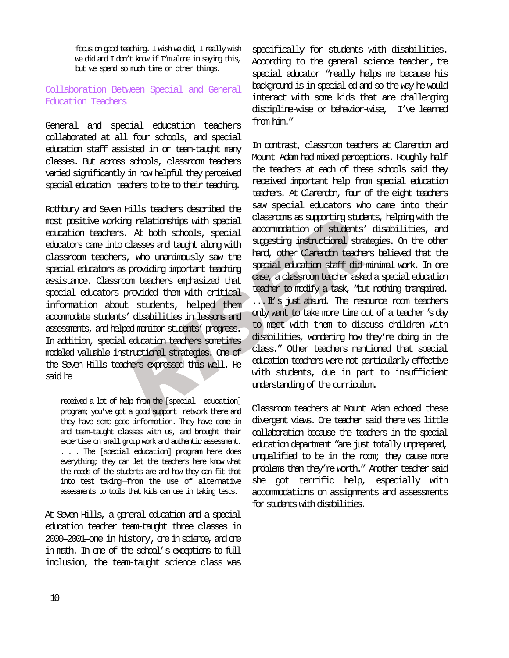focus on good teaching. I wish we did, I really wish we did and I don't know if I'm alone in saying this, but we spend so much time on other things.

## Collaboration Between Special and General Education Teachers

General and special education teachers collaborated at all four schools, and special education staff assisted in or team-taught many classes. But across schools, classroom teachers varied significantly in how helpful they perceived special education teachers to be to their teaching.

*RIGHT IS and A commodation of studies*<br> *RIGHT IS a commodation of studies*<br> *RIGHT IS a commodation of studies*<br> *RIGHT IS a commodation of studies*<br> **RIGHT IS and tagit along with** suppositing instantional start<br> **RIGHT** Rothbury and Seven Hills teachers described the most positive working relationships with special education teachers. At both schools, special educators came into classes and taught along with classroom teachers, who unanimously saw the special educators as providing important teaching assistance. Classroom teachers emphasized that special educators provided them with critical information about students, helped them accommodate students' disabilities in lessons and assessments, and helped monitor students' progress. In addition, special education teachers sometimes modeled valuable instructional strategies. One of the Seven Hills teachers expressed this well. He said he

received a lot of help from the [special education] program; you've got a good support network there and they have some good information. They have come in and team-taught classes with us, and brought their expertise on small group work and authentic assessment. . . . The [special education] program here does everything; they can let the teachers here know what the needs of the students are and how they can fit that into test taking—from the use of alternative assessments to tools that kids can use in taking tests.

At Seven Hills, a general education and a special education teacher team-taught three classes in 2000–2001—one in history, one in science, and one in math. In one of the school's exceptions to full inclusion, the team-taught science class was

specifically for students with disabilities. According to the general science teacher, the special educator "really helps me because his background is in special ed and so the way he would interact with some kids that are challenging discipline-wise or behavior-wise, I've learned from him."

In contrast, classroom teachers at Clarendon and Mount Adam had mixed perceptions. Roughly half the teachers at each of these schools said they received important help from special education teachers. At Clarendon, four of the eight teachers saw special educators who came into their classrooms as supporting students, helping with the accommodation of students' disabilities, and suggesting instructional strategies. On the other hand, other Clarendon teachers believed that the special education staff did minimal work. In one case, a classroom teacher asked a special education teacher to modify a task, "but nothing transpired. ...It's just absurd. The resource room teachers only want to take more time out of a teacher's day to meet with them to discuss children with disabilities, wondering how they're doing in the class." Other teachers mentioned that special education teachers were not particularly effective with students, due in part to insufficient understanding of the curriculum.

Classroom teachers at Mount Adam echoed these divergent views. One teacher said there was little collaboration because the teachers in the special education department "are just totally unprepared, unqualified to be in the room; they cause more problems than they're worth." Another teacher said she got terrific help, especially with accommodations on assignments and assessments for students with disabilities.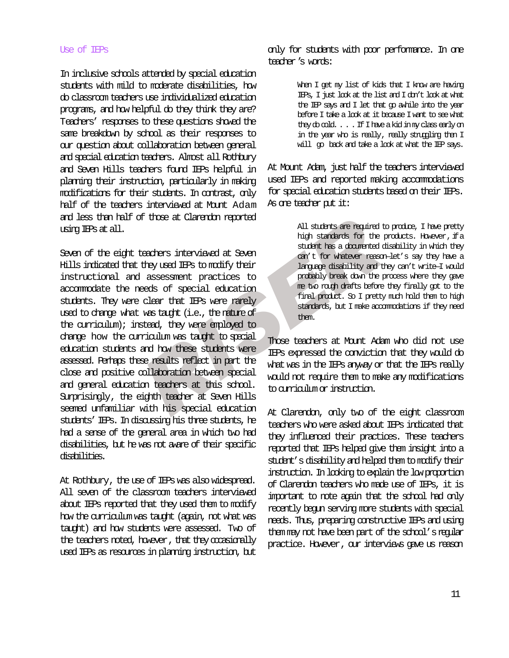#### Use of IEPs

In inclusive schools attended by special education students with mild to moderate disabilities, how do classroom teachers use individualized education programs, and how helpful do they think they are? Teachers' responses to these questions showed the same breakdown by school as their responses to our question about collaboration between general and special education teachers. Almost all Rothbury and Seven Hills teachers found IEPs helpful in planning their instruction, particularly in making modifications for their students. In contrast, only half of the teachers interviewed at Mount Adam and less than half of those at Clarendon reported using IEPs at all.

For the actual control of the second text is a series of the text of the second text is a contract of the second text is a contract of the second text is a contract of the second text is a second that is a second that is a Seven of the eight teachers interviewed at Seven Hills indicated that they used IEPs to modify their instructional and assessment practices to accommodate the needs of special education students. They were clear that IEPs were rarely used to change what was taught (i.e., the nature of the curriculum); instead, they were employed to change how the curriculum was taught to special education students and how these students were assessed. Perhaps these results reflect in part the close and positive collaboration between special and general education teachers at this school. Surprisingly, the eighth teacher at Seven Hills seemed unfamiliar with his special education students' IEPs. In discussing his three students, he had a sense of the general area in which two had disabilities, but he was not aware of their specific disabilities.

At Rothbury, the use of IEPs was also widespread. All seven of the classroom teachers interviewed about IEPs reported that they used them to modify how the curriculum was taught (again, not what was taught) and how students were assessed. Two of the teachers noted, however, that they conasionally used IEPs as resources in planning instruction, but

## only for students with poor performance. In one teacher's words:

When I get my list of kids that I know are having IEPs, I just look at the list and I don't look at what the IEP says and I let that go awhile into the year before I take a look at it because I want to see what they do cold. . . . If I have a kid in my class early on in the year who is really, really struggling then I will go back and take a look at what the IEP says.

At Mount Adam, just half the teachers interviewed used IEPs and reported making accommodations for special education students based on their IEPs. As one teacher put it:

> All students are required to produce, I have pretty high standards for the products. However, if a student has a documented disability in which they can't for whatever reason—let's say they have a language disability and they can't write—I would probably break down the process where they gave me two rough drafts before they finally got to the final product. So I pretty much hold them to high standards, but I make accommodations if they need them.

Those teachers at Mount Adam who did not use IEPs expressed the conviction that they would do what was in the IEPs anyway or that the IEPs really would not require them to make any modifications to curriculum or instruction.

At Clarendon, only two of the eight classroom teachers who were asked about IEPs indicated that they influenced their practices. These teachers reported that IEPs helped give them insight into a student's disability and helped them to modify their instruction. In looking to explain the low proportion of Clarendon teachers who made use of IEPs, it is important to note again that the school had only recently begun serving more students with special needs. Thus, preparing constructive IEPs and using them may not have been part of the school's regular practice. However, our interviews gave us reason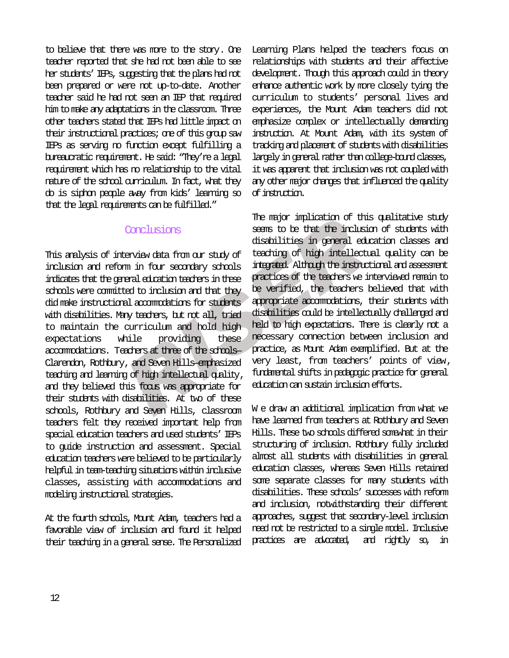to believe that there was more to the story. One teacher reported that she had not been able to see her students' IEPs, suggesting that the plans had not been prepared or were not up-to-date. Another teacher said he had not seen an IEP that required him to make any adaptations in the classroom. Three other teachers stated that IEPs had little impact on their instructional practices; one of this group saw IEPs as serving no function except fulfilling a bureaucratic requirement. He said: "They're a legal requirement which has no relationship to the vital nature of the school curriculum. In fact, what they do is siphon people away from kids' learning so that the legal requirements can be fulfilled."

## **Conclusions**

The major implication of the conductions<br>
for the inclusions<br>
for the text of text of the conduction of the inclusion<br> *RISERRIER In the secondary schools*<br>
integrated. Although the instance of the teachers we interest tha This analysis of interview data from our study of inclusion and reform in four secondary schools indicates that the general education teachers in these schools were committed to inclusion and that they did make instructional accommodations for students with disabilities. Many teachers, but not all, tried to maintain the curriculum and hold high expectations while providing these accommodations. Teachers at three of the schools-Clarendon, Rothbury, and Seven Hills—emphasized teaching and learning of high intellectual quality, and they believed this focus was appropriate for their students with disabilities. At two of these schools, Rothbury and Seven Hills, classroom teachers felt they received important help from special education teachers and used students' IEPs to guide instruction and assessment. Special education teachers were believed to be particularly helpful in team-teaching situations within inclusive classes, assisting with accommodations and modeling instructional strategies.

At the fourth schools, Mount Adam, teachers had a favorable view of inclusion and found it helped their teaching in a general sense. The Personalized Learning Plans helped the teachers focus on relationships with students and their affective development. Though this approach could in theory enhance authentic work by more closely tying the curriculum to students' personal lives and experiences, the Mount Adam teachers did not emphasize complex or intellectually demanding instruction. At Mount Adam, with its system of tracking and placement of students with disabilities largely in general rather than college-bound classes, it was apparent that inclusion was not coupled with any other major changes that influenced the quality of instruction.

The major implication of this qualitative study seems to be that the inclusion of students with disabilities in general education classes and teaching of high intellectual quality can be integrated. Although the instructional and assessment practices of the teachers we interviewed remain to be verified, the teachers believed that with appropriate accommodations, their students with disabilities could be intellectually challenged and held to high expectations. There is clearly not a necessary connection between inclusion and practice, as Mount Adam exemplified. But at the very least, from teachers' points of view, fundamental shifts in pedagogic practice for general education can sustain inclusion efforts.

W e draw an additional implication from what we have learned from teachers at Rothbury and Seven Hills. These two schools differed somewhat in their structuring of inclusion. Rothbury fully included almost all students with disabilities in general education classes, whereas Seven Hills retained some separate classes for many students with disabilities. These schools' successes with reform and inclusion, notwithstanding their different approaches, suggest that secondary-level inclusion need not be restricted to a single model. Inclusive practices are advocated, and rightly so, in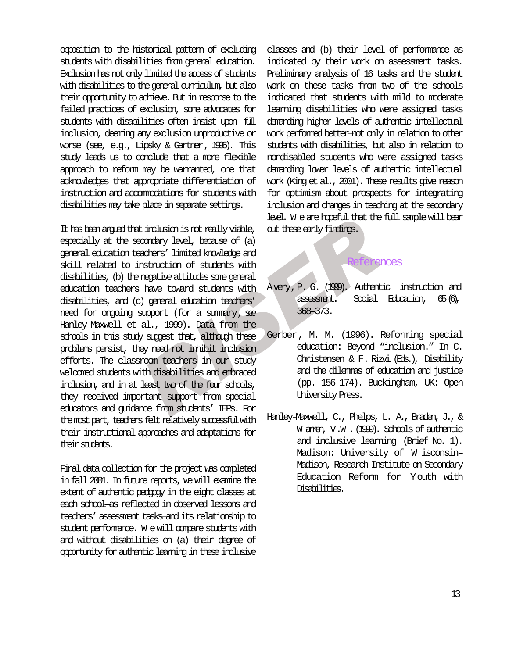opposition to the historical pattern of excluding students with disabilities from general education. Exclusion has not only limited the access of students with disabilities to the general curriculum, but also their opportunity to achieve. But in response to the failed practices of exclusion, some advocates for students with disabilities often insist upon full inclusion, deeming any exclusion unproductive or worse (see, e.g., Lipsky & Gartner, 1996). This study leads us to conclude that a more flexible approach to reform may be warranted, one that acknowledges that appropriate differentiation of instruction and accommodations for students with disabilities may take place in separate settings.

Example in the same of (a)<br> **RISER** and the same of (a)<br> **RISER** and the same of (a)<br> **RISER** and the same of (a)<br> **RISER** and the same of (a)<br> **RISER** and the same of the same of the same of the same of the same of the sa It has been argued that inclusion is not really viable, especially at the secondary level, because of (a) general education teachers' limited knowledge and skill related to instruction of students with disabilities, (b) the negative attitudes some general education teachers have toward students with disabilities, and (c) general education teachers' need for ongoing support (for a summary, see Hanley-Maxwell et al., 1999). Data from the schools in this study suppert that, although these problems persist, they need not inhibit inclusion efforts. The classroom teachers in our study welcomed students with disabilities and embraced inclusion, and in at least two of the four schools, they received important support from special educators and guidance from students' IEPs. For the most part, teachers felt relatively successful with their instructional approaches and adaptations for their students.

Final data collection for the project was completed in fall 2001. In future reports, we will examine the extent of authentic pedgogy in the eight classes at each school—as reflected in observed lessons and teachers' assessment tasks—and its relationship to student performance. W e will compare students with and without disabilities on (a) their degree of opportunity for authentic learning in these inclusive classes and (b) their level of performance as indicated by their work on assessment tasks. Preliminary analysis of 16 tasks and the student work on these tasks from two of the schools indicated that students with mild to moderate learning disabilities who were assigned tasks demanding higher levels of authentic intellectual work performed better—not only in relation to other students with disabilities, but also in relation to nondisabled students who were assigned tasks demanding lower levels of authentic intellectual work (King et al., 2001). These results give reason for optimism about prospects for integrating inclusion and changes in teaching at the secondary level. We are hopeful that the full sample will bear out these early findings.

#### nces

- Avery,P. G. (1999). Authentic instruction and assessment. Social Education, 65(6), 368–373.
- Gerber, M. M. (1996). Reforming special education: Beyond "inclusion." In C. Christensen & F. Rizvi (Eds.), Disability and the dilemmas of education and justice (pp. 156–174). Buckingham, UK: Open University Press.
- Hanley-Maxwell, C., Phelps, L. A., Braden, J., & W anren, V.W.(1999). Schools of authentic and inclusive learning (Brief No. 1). Madison: University of W isconsin– Madison, Research Institute on Secondary Education Reform for Youth with Disabilities.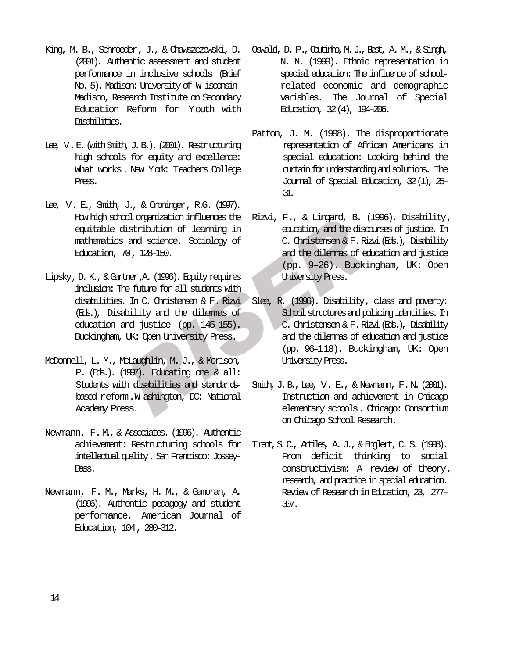- King, M. B., Schroeder, J., & Chawszczewski, D. (2001). Authentic assessment and student performance in inclusive schools (Brief No. 5). Madison: University of W isconsin– Madison, Research Institute on Secondary Education Reform for Youth with Disabilities.
- Lee, V. E. (with Smith, J. B.). (2001). Restructuring high schools for equity and excellence: What works. New York: Teachers College Press.
- Lee, V. E., Smith, J., & Croninger, R.G. (1997). How high school organization influences the equitable distribution of learning in mathematics and science. Sociology of Education, 70, 128–150.
- oli degrifization influentes tre Rizxi, F., & Lingard, B. (distribution of learning in education, and the distribution of learning in education, and the distribution of learning in and the dilemmas of (pp. 9–26). Bucking Lipsky, D. K., & Gartner, A. (1996). Equity requires inclusion: The future for all students with disabilities. In C. Christensen & F. Rizvi (Eds.), Disability and the dilemmas of education and justice (pp. 145–155). Buckingham, UK: Open University Press.
- McDonnell, L. M., McLaughlin, M. J., & Morison, P. (Eds.). (1997). Educating one & all: Students with disabilities and standardsbased reform. W ashington, DC: National Academy Press.
- Newmann, F. M., & Associates. (1996). Authentic achievement: Restructuring schools for intellectual quality. San Francisco: Jossey-Bass.
- Newmann, F. M., Marks, H. M., & Gamoran, A. (1996). Authentic pedagogy and student performance. American Journal of Education, 104, 280–312.
- Oswald, D. P.,Coutinho,M.J.,Best, A. M., & Singh, N. N. (1999). Ethnic representation in special education: The influence of schoolrelated economic and demographic variables. The Journal of Special Education, 32(4), 194–206.
- Patton, J. M. (1998). The disproportionate representation of African Americans in special education: Looking behind the curtain for understanding and solutions. The Journal of Special Education, 32(1), 25– 31.
- Rizvi, F., & Lingard, B. (1996). Disability, education, and the discourses of justice. In C. Christensen & F.Rizvi(Eds.), Disability and the dilemmas of education and justice (pp. 9–26). Buckingham, UK: Open University Press.
- Slee, R. (1996). Disability, class and poverty: School structures and policing identities. In C. Christensen & F.Rizvi(Eds.), Disability and the dilemmas of education and justice (pp. 96–118). Buckingham, UK: Open University Press.
- Smith, J. B., Lee, V. E., & Newmann, F. N. (2001). Instruction and achievement in Chicago elementary schools. Chicago: Consortium on Chicago School Research.
- Trent, S. C., Artiles, A. J., & Englert, C. S. (1998). From deficit thinking to social constructivism: A review of theory, research, and practice in special education. Review of Research in Education, 23, 277-307.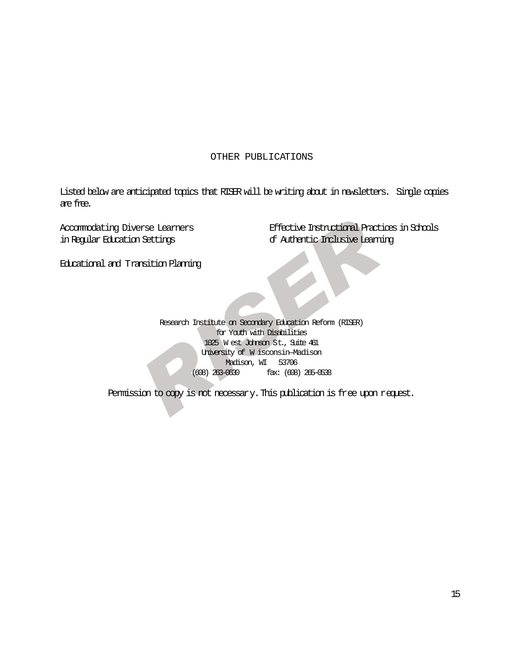## OTHER PUBLICATIONS

Listed below are anticipated topics that RISER will be writing about in newsletters. Single copies are free.

in Regular Education Settings of Authentic Inclusive Learning

Accommodating Diverse Learners **Effective Instructional Practices in Schools** 

Educational and Transition Planning

Francesco Barners<br> **REFECTIVE INSTANCTION PROPERTY ACTS**<br> **RESERVENT DEPARTIES**<br> **RESERVENT INSTANCT PROPERTY PROPERTY PROPERTY OF A SCRIP AND DESCRIPT DEPARTY OF A SCRIP MAGNETY OF MISSING THE USER PROPERTY (608) 263-0630** Research Institute on Secondary Education Reform (RISER) for Youth with Disabilities 1025 W est Johnson St., Suite 461 University of W isconsin—Madison Madison, WI 53706 (608) 263-0630 fax: (608) 265-0538

Permission to copy is not necessary. This publication is free upon request.